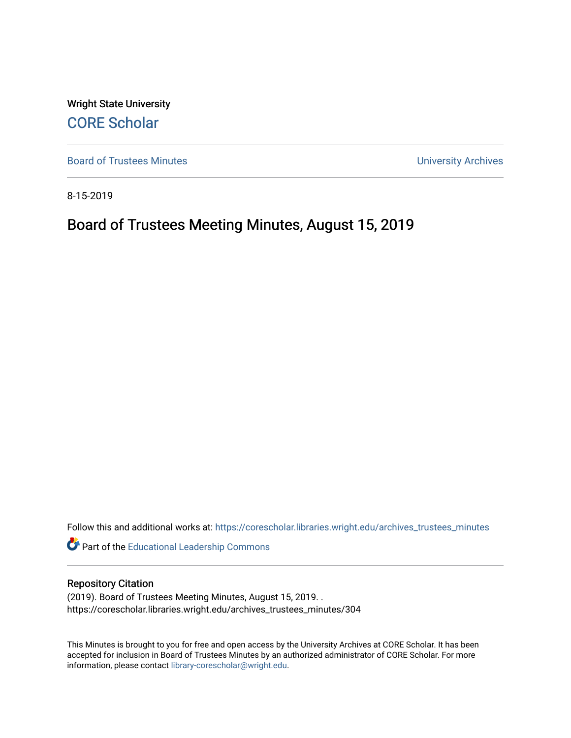Wright State University [CORE Scholar](https://corescholar.libraries.wright.edu/)

[Board of Trustees Minutes](https://corescholar.libraries.wright.edu/archives_trustees_minutes) **Exercise 2018** Solution 2018 10:30 Minutes University Archives

8-15-2019

# Board of Trustees Meeting Minutes, August 15, 2019

Follow this and additional works at: [https://corescholar.libraries.wright.edu/archives\\_trustees\\_minutes](https://corescholar.libraries.wright.edu/archives_trustees_minutes?utm_source=corescholar.libraries.wright.edu%2Farchives_trustees_minutes%2F304&utm_medium=PDF&utm_campaign=PDFCoverPages) 

Part of the [Educational Leadership Commons](https://network.bepress.com/hgg/discipline/1230?utm_source=corescholar.libraries.wright.edu%2Farchives_trustees_minutes%2F304&utm_medium=PDF&utm_campaign=PDFCoverPages) 

#### Repository Citation

(2019). Board of Trustees Meeting Minutes, August 15, 2019. . https://corescholar.libraries.wright.edu/archives\_trustees\_minutes/304

This Minutes is brought to you for free and open access by the University Archives at CORE Scholar. It has been accepted for inclusion in Board of Trustees Minutes by an authorized administrator of CORE Scholar. For more information, please contact [library-corescholar@wright.edu.](mailto:library-corescholar@wright.edu)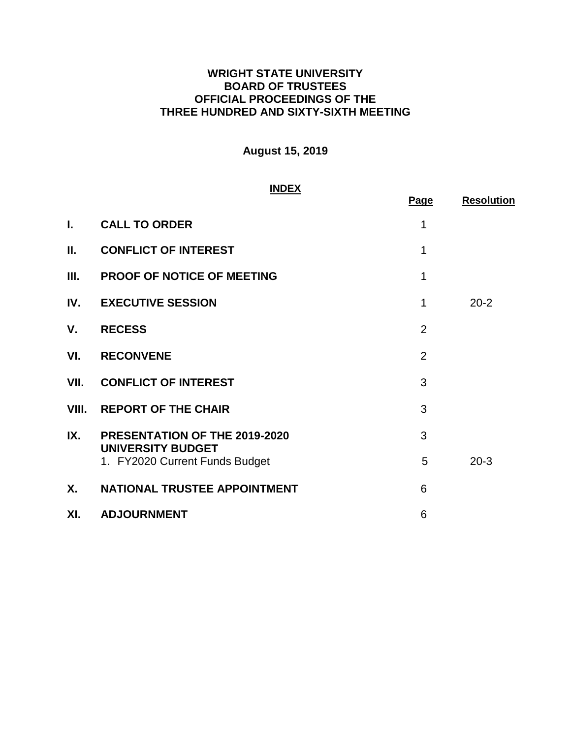## **WRIGHT STATE UNIVERSITY BOARD OF TRUSTEES OFFICIAL PROCEEDINGS OF THE THREE HUNDRED AND SIXTY-SIXTH MEETING**

# **August 15, 2019**

#### **INDEX**

|       | <u>INDEX</u>                                               | Page           | <b>Resolution</b> |
|-------|------------------------------------------------------------|----------------|-------------------|
| L.    | <b>CALL TO ORDER</b>                                       | 1              |                   |
| Ш.    | <b>CONFLICT OF INTEREST</b>                                | 1              |                   |
| Ш.    | <b>PROOF OF NOTICE OF MEETING</b>                          | 1              |                   |
| IV.   | <b>EXECUTIVE SESSION</b>                                   | 1              | $20 - 2$          |
| V.    | <b>RECESS</b>                                              | $\overline{2}$ |                   |
| VI.   | <b>RECONVENE</b>                                           | $\overline{2}$ |                   |
| VII.  | <b>CONFLICT OF INTEREST</b>                                | 3              |                   |
| VIII. | <b>REPORT OF THE CHAIR</b>                                 | 3              |                   |
| IX.   | PRESENTATION OF THE 2019-2020                              | 3              |                   |
|       | <b>UNIVERSITY BUDGET</b><br>1. FY2020 Current Funds Budget | 5              | $20 - 3$          |
| Χ.    | NATIONAL TRUSTEE APPOINTMENT                               | 6              |                   |
| XI.   | <b>ADJOURNMENT</b>                                         | 6              |                   |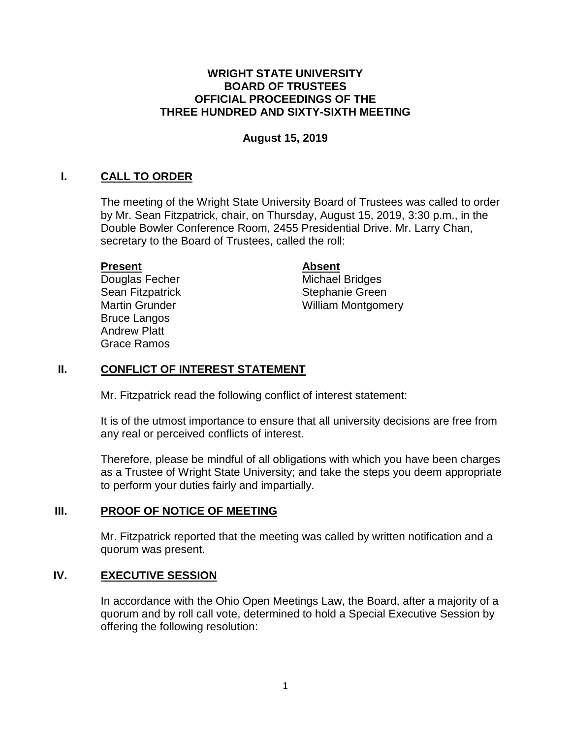#### **WRIGHT STATE UNIVERSITY BOARD OF TRUSTEES OFFICIAL PROCEEDINGS OF THE THREE HUNDRED AND SIXTY-SIXTH MEETING**

#### **August 15, 2019**

## **I. CALL TO ORDER**

The meeting of the Wright State University Board of Trustees was called to order by Mr. Sean Fitzpatrick, chair, on Thursday, August 15, 2019, 3:30 p.m., in the Double Bowler Conference Room, 2455 Presidential Drive. Mr. Larry Chan, secretary to the Board of Trustees, called the roll:

#### **Present**

Douglas Fecher Sean Fitzpatrick Martin Grunder Bruce Langos Andrew Platt Grace Ramos

#### **Absent**

Michael Bridges Stephanie Green William Montgomery

## **II. CONFLICT OF INTEREST STATEMENT**

Mr. Fitzpatrick read the following conflict of interest statement:

It is of the utmost importance to ensure that all university decisions are free from any real or perceived conflicts of interest.

Therefore, please be mindful of all obligations with which you have been charges as a Trustee of Wright State University; and take the steps you deem appropriate to perform your duties fairly and impartially.

#### **III. PROOF OF NOTICE OF MEETING**

Mr. Fitzpatrick reported that the meeting was called by written notification and a quorum was present.

## **IV. EXECUTIVE SESSION**

In accordance with the Ohio Open Meetings Law, the Board, after a majority of a quorum and by roll call vote, determined to hold a Special Executive Session by offering the following resolution: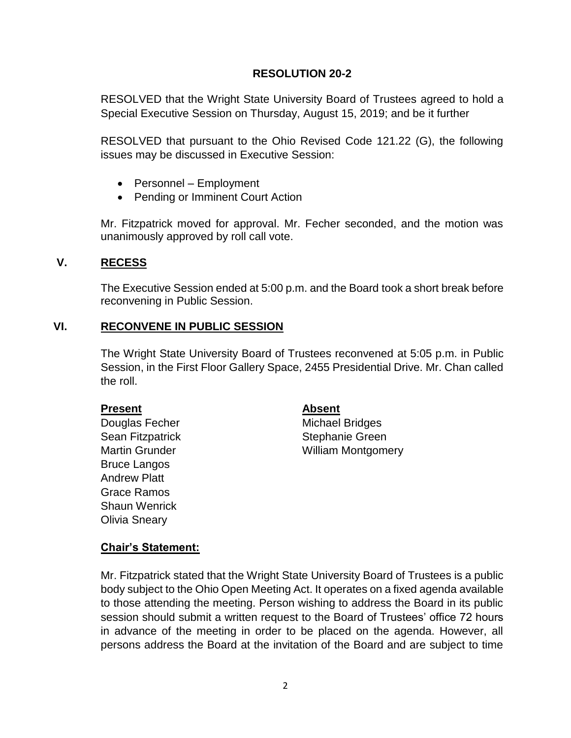## **RESOLUTION 20-2**

<span id="page-3-0"></span>RESOLVED that the Wright State University Board of Trustees agreed to hold a Special Executive Session on Thursday, August 15, 2019; and be it further

RESOLVED that pursuant to the Ohio Revised Code 121.22 (G), the following issues may be discussed in Executive Session:

- Personnel Employment
- Pending or Imminent Court Action

Mr. Fitzpatrick moved for approval. Mr. Fecher seconded, and the motion was unanimously approved by roll call vote.

#### **V. RECESS**

The Executive Session ended at 5:00 p.m. and the Board took a short break before reconvening in Public Session.

## **VI. RECONVENE IN PUBLIC SESSION**

The Wright State University Board of Trustees reconvened at 5:05 p.m. in Public Session, in the First Floor Gallery Space, 2455 Presidential Drive. Mr. Chan called the roll.

#### **Present**

Douglas Fecher Sean Fitzpatrick Martin Grunder Bruce Langos Andrew Platt Grace Ramos Shaun Wenrick Olivia Sneary

#### **Absent**

Michael Bridges Stephanie Green William Montgomery

## **Chair's Statement:**

 Mr. Fitzpatrick stated that the Wright State University Board of Trustees is a public body subject to the Ohio Open Meeting Act. It operates on a fixed agenda available to those attending the meeting. Person wishing to address the Board in its public session should submit a written request to the Board of Trustees' office 72 hours in advance of the meeting in order to be placed on the agenda. However, all persons address the Board at the invitation of the Board and are subject to time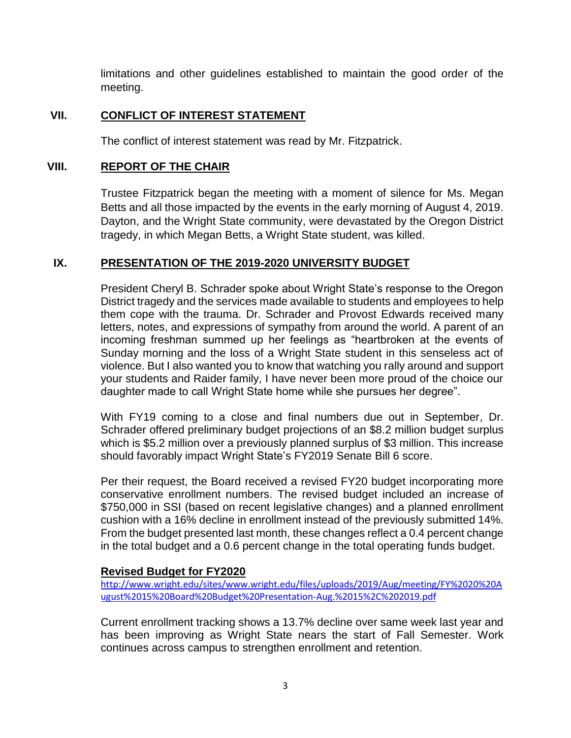limitations and other guidelines established to maintain the good order of the meeting.

# **VII. CONFLICT OF INTEREST STATEMENT**

The conflict of interest statement was read by Mr. Fitzpatrick.

## **VIII. REPORT OF THE CHAIR**

Trustee Fitzpatrick began the meeting with a moment of silence for Ms. Megan Betts and all those impacted by the events in the early morning of August 4, 2019. Dayton, and the Wright State community, were devastated by the Oregon District tragedy, in which Megan Betts, a Wright State student, was killed.

## **IX. PRESENTATION OF THE 2019-2020 UNIVERSITY BUDGET**

President Cheryl B. Schrader spoke about Wright State's response to the Oregon District tragedy and the services made available to students and employees to help them cope with the trauma. Dr. Schrader and Provost Edwards received many letters, notes, and expressions of sympathy from around the world. A parent of an incoming freshman summed up her feelings as "heartbroken at the events of Sunday morning and the loss of a Wright State student in this senseless act of violence. But I also wanted you to know that watching you rally around and support your students and Raider family, I have never been more proud of the choice our daughter made to call Wright State home while she pursues her degree".

With FY19 coming to a close and final numbers due out in September, Dr. Schrader offered preliminary budget projections of an \$8.2 million budget surplus which is \$5.2 million over a previously planned surplus of \$3 million. This increase should favorably impact Wright State's FY2019 Senate Bill 6 score.

 Per their request, the Board received a revised FY20 budget incorporating more \$750,000 in SSI (based on recent legislative changes) and a planned enrollment cushion with a 16% decline in enrollment instead of the previously submitted 14%. From the budget presented last month, these changes reflect a 0.4 percent change conservative enrollment numbers. The revised budget included an increase of in the total budget and a 0.6 percent change in the total operating funds budget.

# **Revised Budget for FY2020**

[http://www.wright.edu/sites/www.wright.edu/files/uploads/2019/Aug/meeting/FY%2020%20A](http://www.wright.edu/sites/www.wright.edu/files/uploads/2019/Aug/meeting/FY%2020%20August%2015%20Board%20Budget%20Presentation-Aug.%2015%2C%202019.pdf)  [ugust%2015%20Board%20Budget%20Presentation-Aug.%2015%2C%202019.pdf](http://www.wright.edu/sites/www.wright.edu/files/uploads/2019/Aug/meeting/FY%2020%20August%2015%20Board%20Budget%20Presentation-Aug.%2015%2C%202019.pdf) 

 Current enrollment tracking shows a 13.7% decline over same week last year and has been improving as Wright State nears the start of Fall Semester. Work continues across campus to strengthen enrollment and retention.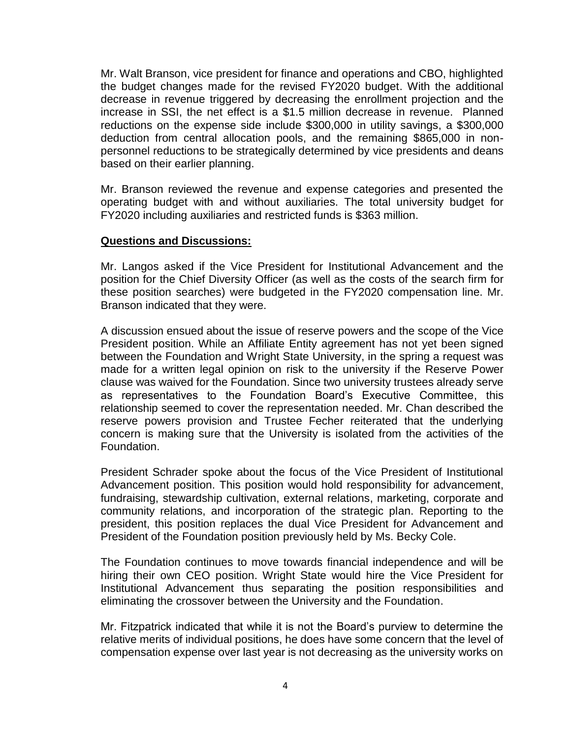Mr. Walt Branson, vice president for finance and operations and CBO, highlighted the budget changes made for the revised FY2020 budget. With the additional decrease in revenue triggered by decreasing the enrollment projection and the increase in SSI, the net effect is a \$1.5 million decrease in revenue. Planned reductions on the expense side include \$300,000 in utility savings, a \$300,000 deduction from central allocation pools, and the remaining \$865,000 in non- personnel reductions to be strategically determined by vice presidents and deans based on their earlier planning.

 Mr. Branson reviewed the revenue and expense categories and presented the operating budget with and without auxiliaries. The total university budget for FY2020 including auxiliaries and restricted funds is \$363 million.

#### **Questions and Discussions:**

 Mr. Langos asked if the Vice President for Institutional Advancement and the position for the Chief Diversity Officer (as well as the costs of the search firm for these position searches) were budgeted in the FY2020 compensation line. Mr. Branson indicated that they were.

 A discussion ensued about the issue of reserve powers and the scope of the Vice President position. While an Affiliate Entity agreement has not yet been signed between the Foundation and Wright State University, in the spring a request was made for a written legal opinion on risk to the university if the Reserve Power clause was waived for the Foundation. Since two university trustees already serve as representatives to the Foundation Board's Executive Committee, this relationship seemed to cover the representation needed. Mr. Chan described the reserve powers provision and Trustee Fecher reiterated that the underlying concern is making sure that the University is isolated from the activities of the Foundation.

 President Schrader spoke about the focus of the Vice President of Institutional fundraising, stewardship cultivation, external relations, marketing, corporate and community relations, and incorporation of the strategic plan. Reporting to the Advancement position. This position would hold responsibility for advancement, president, this position replaces the dual Vice President for Advancement and President of the Foundation position previously held by Ms. Becky Cole.

 hiring their own CEO position. Wright State would hire the Vice President for Institutional Advancement thus separating the position responsibilities and The Foundation continues to move towards financial independence and will be eliminating the crossover between the University and the Foundation.

 Mr. Fitzpatrick indicated that while it is not the Board's purview to determine the relative merits of individual positions, he does have some concern that the level of compensation expense over last year is not decreasing as the university works on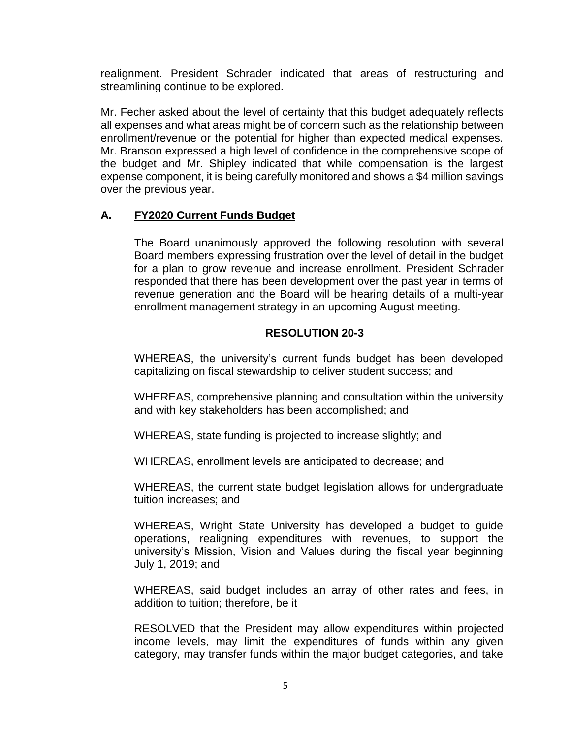realignment. President Schrader indicated that areas of restructuring and streamlining continue to be explored.

 Mr. Fecher asked about the level of certainty that this budget adequately reflects all expenses and what areas might be of concern such as the relationship between enrollment/revenue or the potential for higher than expected medical expenses. Mr. Branson expressed a high level of confidence in the comprehensive scope of the budget and Mr. Shipley indicated that while compensation is the largest expense component, it is being carefully monitored and shows a \$4 million savings over the previous year.

## **A. FY2020 Current Funds Budget**

 The Board unanimously approved the following resolution with several Board members expressing frustration over the level of detail in the budget for a plan to grow revenue and increase enrollment. President Schrader revenue generation and the Board will be hearing details of a multi-year responded that there has been development over the past year in terms of enrollment management strategy in an upcoming August meeting.

# **RESOLUTION 20-3**

 WHEREAS, the university's current funds budget has been developed capitalizing on fiscal stewardship to deliver student success; and

WHEREAS, comprehensive planning and consultation within the university and with key stakeholders has been accomplished; and

WHEREAS, state funding is projected to increase slightly; and

WHEREAS, enrollment levels are anticipated to decrease; and

WHEREAS, the current state budget legislation allows for undergraduate tuition increases; and

 WHEREAS, Wright State University has developed a budget to guide operations, realigning expenditures with revenues, to support the university's Mission, Vision and Values during the fiscal year beginning July 1, 2019; and

 WHEREAS, said budget includes an array of other rates and fees, in addition to tuition; therefore, be it

 RESOLVED that the President may allow expenditures within projected income levels, may limit the expenditures of funds within any given category, may transfer funds within the major budget categories, and take